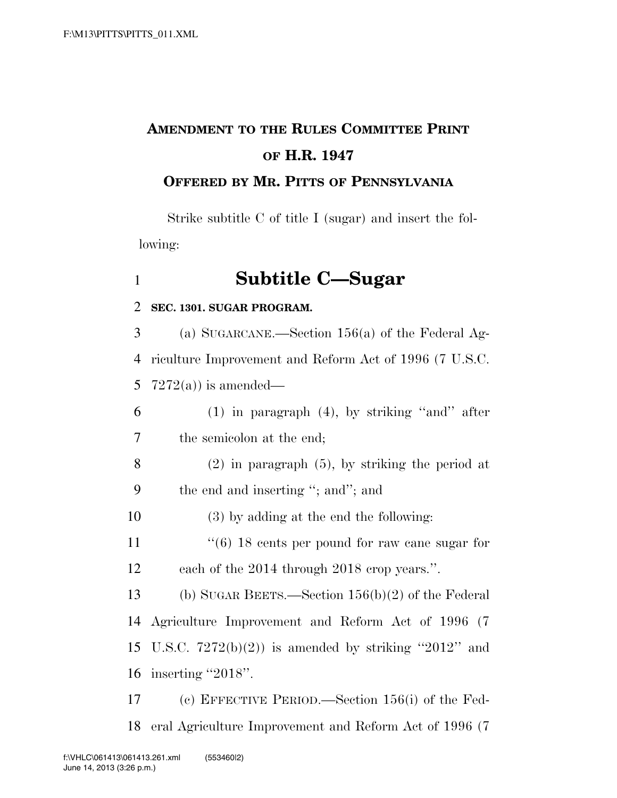# **AMENDMENT TO THE RULES COMMITTEE PRINT OF H.R. 1947**

### **OFFERED BY MR. PITTS OF PENNSYLVANIA**

Strike subtitle C of title I (sugar) and insert the following:

### 1 **Subtitle C—Sugar**

#### 2 **SEC. 1301. SUGAR PROGRAM.**

3 (a) SUGARCANE.—Section 156(a) of the Federal Ag-4 riculture Improvement and Reform Act of 1996 (7 U.S.C. 5 7272(a)) is amended—

- 6 (1) in paragraph (4), by striking ''and'' after 7 the semicolon at the end;
- 8 (2) in paragraph (5), by striking the period at 9 the end and inserting ''; and''; and

10 (3) by adding at the end the following:

11  $\frac{1}{6}$  18 cents per pound for raw cane sugar for 12 each of the 2014 through 2018 crop years.''.

 (b) SUGAR BEETS.—Section 156(b)(2) of the Federal Agriculture Improvement and Reform Act of 1996 (7 15 U.S.C.  $7272(b)(2)$  is amended by striking "2012" and inserting ''2018''.

17 (c) EFFECTIVE PERIOD.—Section 156(i) of the Fed-18 eral Agriculture Improvement and Reform Act of 1996 (7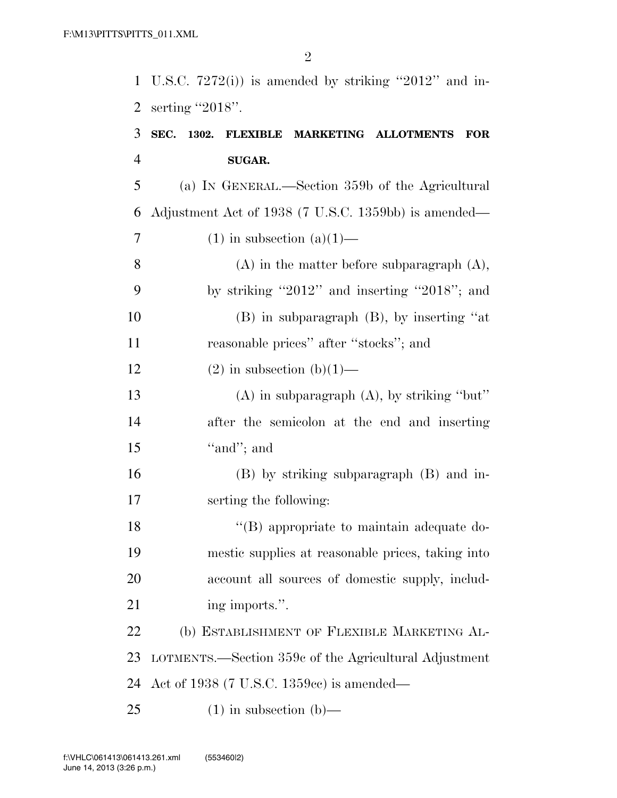U.S.C. 7272(i)) is amended by striking ''2012'' and in-serting ''2018''.

### **SEC. 1302. FLEXIBLE MARKETING ALLOTMENTS FOR SUGAR.**

 (a) IN GENERAL.—Section 359b of the Agricultural Adjustment Act of 1938 (7 U.S.C. 1359bb) is amended— 7 (1) in subsection  $(a)(1)$ —

 (A) in the matter before subparagraph (A), by striking ''2012'' and inserting ''2018''; and (B) in subparagraph (B), by inserting ''at reasonable prices'' after ''stocks''; and

#### 12 (2) in subsection  $(b)(1)$ —

 (A) in subparagraph (A), by striking ''but'' after the semicolon at the end and inserting 15  $"and"$ ; and

 (B) by striking subparagraph (B) and in-serting the following:

18 ''(B) appropriate to maintain adequate do- mestic supplies at reasonable prices, taking into account all sources of domestic supply, includ-21 ing imports.".

 (b) ESTABLISHMENT OF FLEXIBLE MARKETING AL- LOTMENTS.—Section 359c of the Agricultural Adjustment Act of 1938 (7 U.S.C. 1359cc) is amended—

25  $(1)$  in subsection  $(b)$ —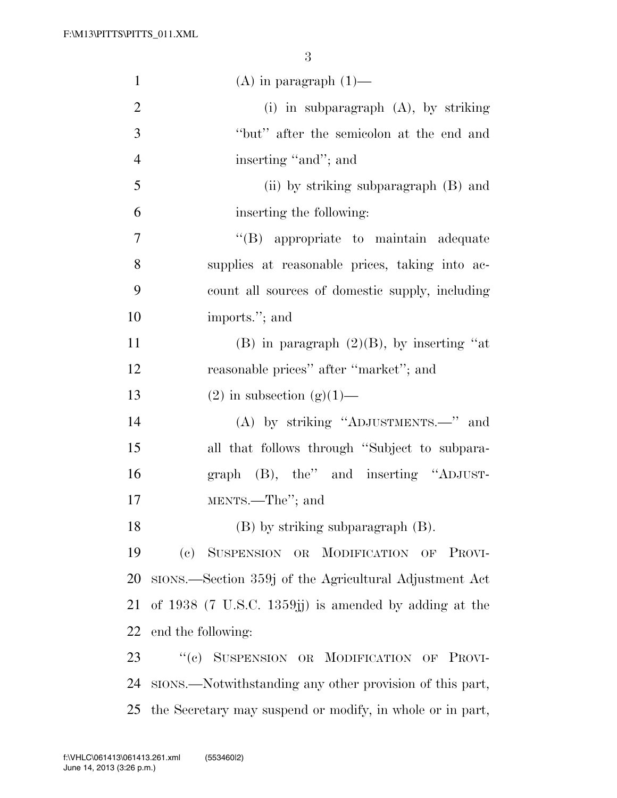| $\mathbf{1}$   | $(A)$ in paragraph $(1)$ —                                |
|----------------|-----------------------------------------------------------|
| $\overline{2}$ | (i) in subparagraph $(A)$ , by striking                   |
| 3              | "but" after the semicolon at the end and                  |
| $\overline{4}$ | inserting "and"; and                                      |
| 5              | (ii) by striking subparagraph (B) and                     |
| 6              | inserting the following:                                  |
| $\overline{7}$ | "(B) appropriate to maintain adequate                     |
| 8              | supplies at reasonable prices, taking into ac-            |
| 9              | count all sources of domestic supply, including           |
| 10             | imports."; and                                            |
| 11             | (B) in paragraph $(2)(B)$ , by inserting "at              |
| 12             | reasonable prices" after "market"; and                    |
| 13             | $(2)$ in subsection $(g)(1)$ —                            |
| 14             | (A) by striking "ADJUSTMENTS.—" and                       |
| 15             | all that follows through "Subject to subpara-             |
| 16             | graph (B), the" and inserting "ADJUST-                    |
| 17             | MENTS.—The"; and                                          |
| 18             | (B) by striking subparagraph (B).                         |
| 19             | (c) SUSPENSION OR MODIFICATION OF PROVI-                  |
| 20             | SIONS.—Section 359j of the Agricultural Adjustment Act    |
| 21             | of $1938$ (7 U.S.C. 1359; i) is amended by adding at the  |
| 22             | end the following:                                        |
| 23             | "(c) SUSPENSION OR MODIFICATION OF PROVI-                 |
| 24             | stons.—Notwithstanding any other provision of this part,  |
| 25             | the Secretary may suspend or modify, in whole or in part, |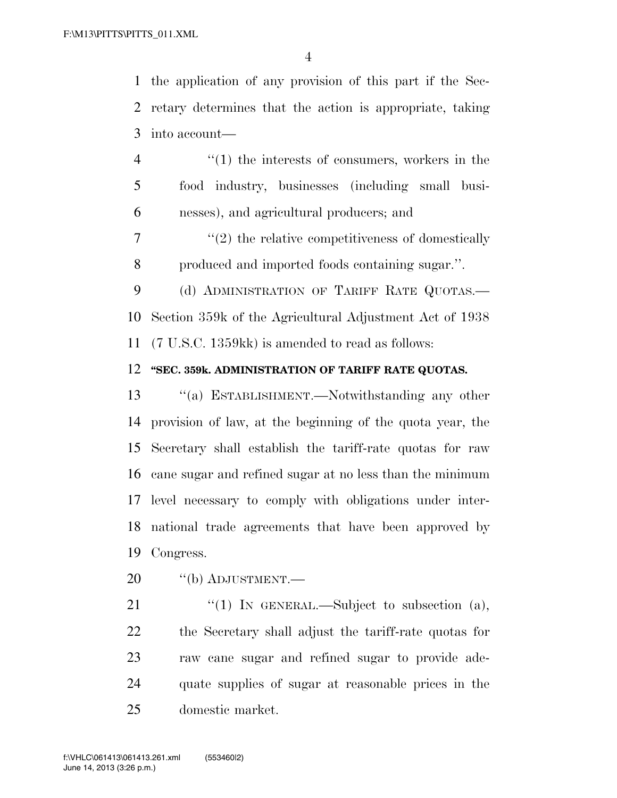the application of any provision of this part if the Sec- retary determines that the action is appropriate, taking into account—

 ''(1) the interests of consumers, workers in the food industry, businesses (including small busi-nesses), and agricultural producers; and

7  $\frac{1}{2}$  the relative competitiveness of domestically produced and imported foods containing sugar.''.

9 (d) ADMINISTRATION OF TARIFF RATE QUOTAS.— Section 359k of the Agricultural Adjustment Act of 1938 (7 U.S.C. 1359kk) is amended to read as follows:

#### **''SEC. 359k. ADMINISTRATION OF TARIFF RATE QUOTAS.**

 ''(a) ESTABLISHMENT.—Notwithstanding any other provision of law, at the beginning of the quota year, the Secretary shall establish the tariff-rate quotas for raw cane sugar and refined sugar at no less than the minimum level necessary to comply with obligations under inter- national trade agreements that have been approved by Congress.

20 "(b) ADJUSTMENT.—

 $\frac{1}{2}$  (1) In GENERAL.—Subject to subsection (a), the Secretary shall adjust the tariff-rate quotas for raw cane sugar and refined sugar to provide ade- quate supplies of sugar at reasonable prices in the domestic market.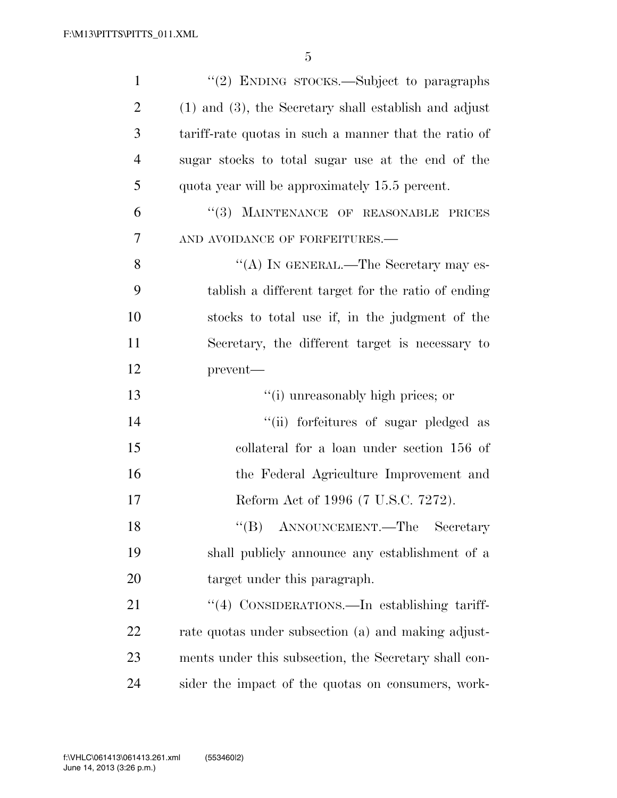| $\mathbf{1}$   | "(2) ENDING STOCKS.—Subject to paragraphs                  |
|----------------|------------------------------------------------------------|
| $\overline{2}$ | $(1)$ and $(3)$ , the Secretary shall establish and adjust |
| 3              | tariff-rate quotas in such a manner that the ratio of      |
| $\overline{4}$ | sugar stocks to total sugar use at the end of the          |
| 5              | quota year will be approximately 15.5 percent.             |
| 6              | "(3) MAINTENANCE OF REASONABLE PRICES                      |
| 7              | AND AVOIDANCE OF FORFEITURES.-                             |
| 8              | "(A) IN GENERAL.—The Secretary may es-                     |
| 9              | tablish a different target for the ratio of ending         |
| 10             | stocks to total use if, in the judgment of the             |
| 11             | Secretary, the different target is necessary to            |
| 12             | prevent-                                                   |
| 13             | "(i) unreasonably high prices; or                          |
| 14             | "(ii) forfeitures of sugar pledged as                      |
| 15             | collateral for a loan under section 156 of                 |
| 16             | the Federal Agriculture Improvement and                    |
| 17             | Reform Act of 1996 (7 U.S.C. 7272).                        |
| 18             | "(B) ANNOUNCEMENT.—The Secretary                           |
| 19             | shall publicly announce any establishment of a             |
| 20             | target under this paragraph.                               |
| 21             | "(4) CONSIDERATIONS.—In establishing tariff-               |
| 22             | rate quotas under subsection (a) and making adjust-        |
| 23             | ments under this subsection, the Secretary shall con-      |
|                |                                                            |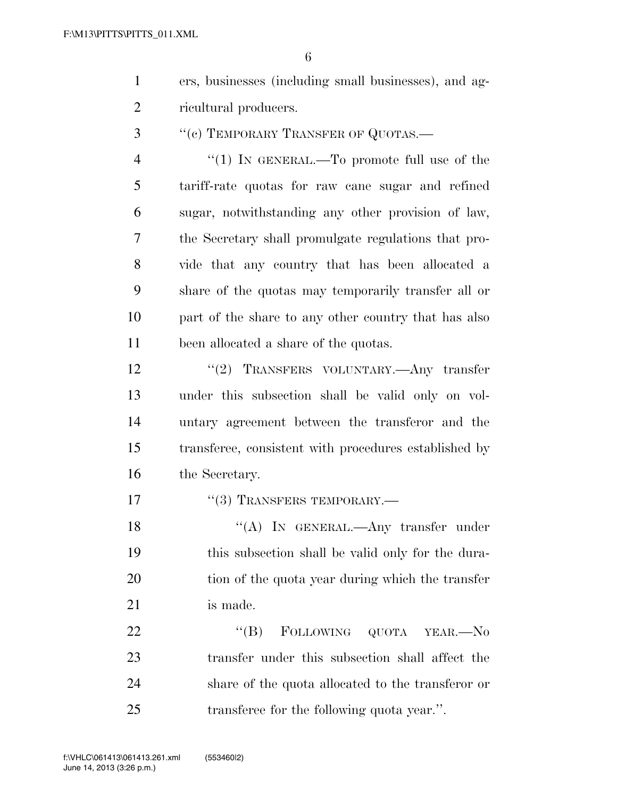| ers, businesses (including small businesses), and ag- |
|-------------------------------------------------------|
| ricultural producers.                                 |

3 "(c) TEMPORARY TRANSFER OF QUOTAS.—

4 "(1) IN GENERAL.—To promote full use of the tariff-rate quotas for raw cane sugar and refined sugar, notwithstanding any other provision of law, the Secretary shall promulgate regulations that pro- vide that any country that has been allocated a share of the quotas may temporarily transfer all or part of the share to any other country that has also been allocated a share of the quotas.

12 "(2) TRANSFERS VOLUNTARY.—Any transfer under this subsection shall be valid only on vol- untary agreement between the transferor and the transferee, consistent with procedures established by the Secretary.

17 <sup>''</sup>(3) TRANSFERS TEMPORARY.—

18 "(A) In GENERAL.—Any transfer under this subsection shall be valid only for the dura- tion of the quota year during which the transfer is made.

22 "(B) FOLLOWING QUOTA YEAR.—No transfer under this subsection shall affect the share of the quota allocated to the transferor or transferee for the following quota year.''.